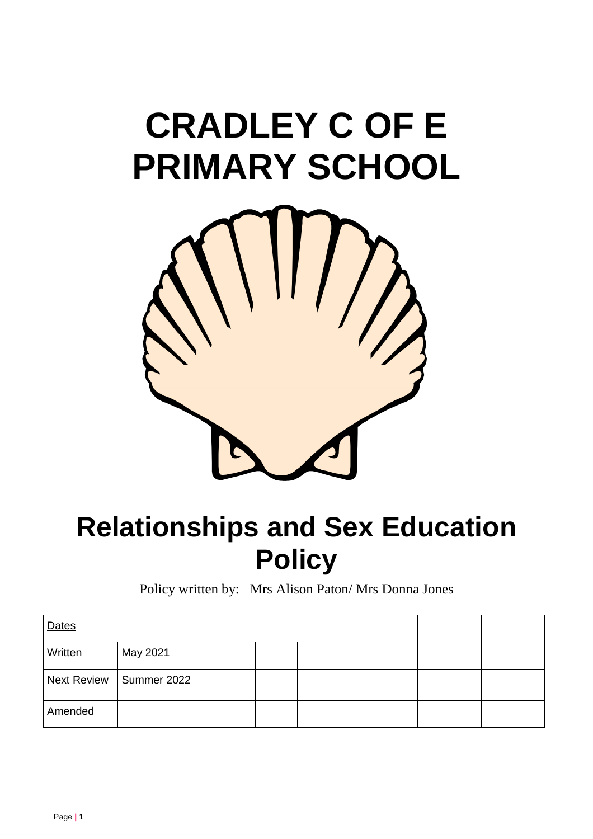# **CRADLEY C OF E PRIMARY SCHOOL**



# **Relationships and Sex Education Policy**

Policy written by: Mrs Alison Paton/ Mrs Donna Jones

| Dates   |                           |  |  |  |  |
|---------|---------------------------|--|--|--|--|
| Written | May 2021                  |  |  |  |  |
|         | Next Review   Summer 2022 |  |  |  |  |
| Amended |                           |  |  |  |  |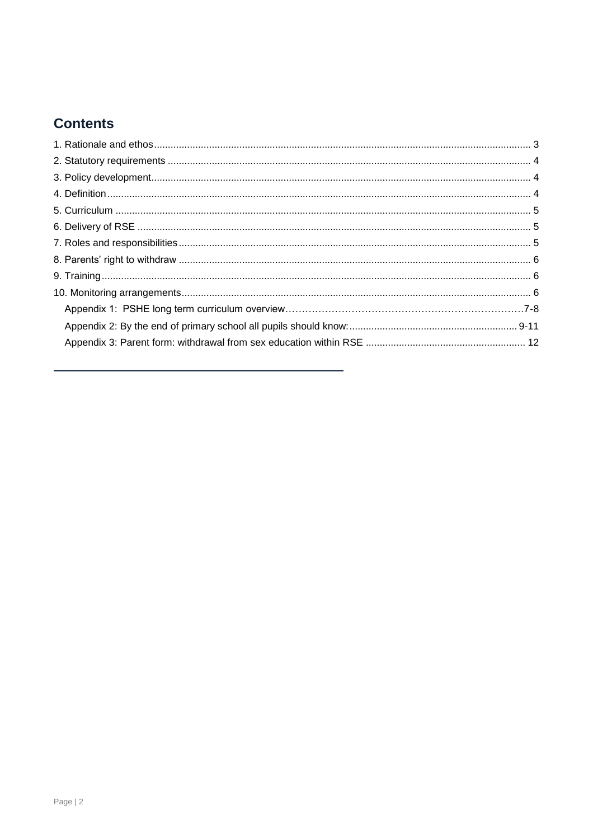# **Contents**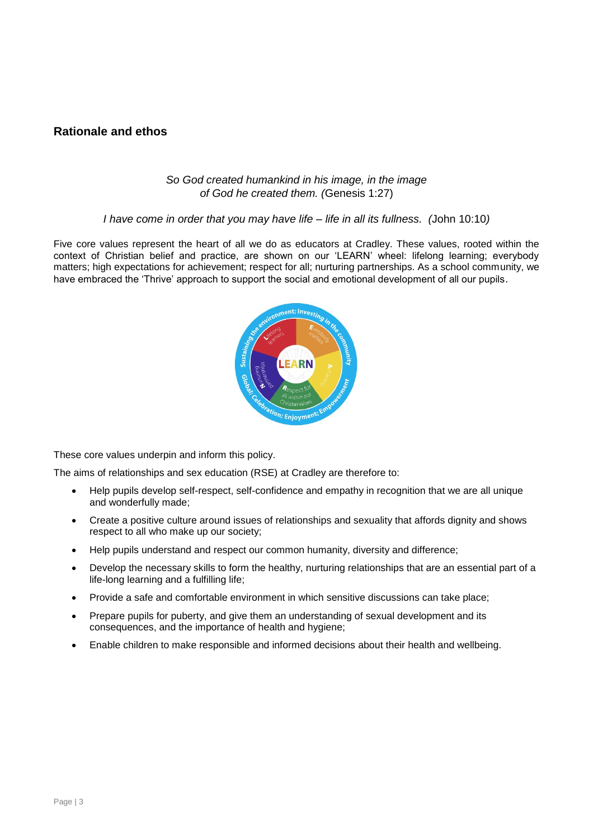#### <span id="page-2-0"></span>**Rationale and ethos**

#### *So God created humankind in his image, in the image of God he created them. (*Genesis 1:27)

#### *I have come in order that you may have life – life in all its fullness. (*John 10:10*)*

Five core values represent the heart of all we do as educators at Cradley. These values, rooted within the context of Christian belief and practice, are shown on our 'LEARN' wheel: lifelong learning; everybody matters; high expectations for achievement; respect for all; nurturing partnerships. As a school community, we have embraced the 'Thrive' approach to support the social and emotional development of all our pupils.



These core values underpin and inform this policy.

The aims of relationships and sex education (RSE) at Cradley are therefore to:

- Help pupils develop self-respect, self-confidence and empathy in recognition that we are all unique and wonderfully made;
- Create a positive culture around issues of relationships and sexuality that affords dignity and shows respect to all who make up our society;
- Help pupils understand and respect our common humanity, diversity and difference;
- Develop the necessary skills to form the healthy, nurturing relationships that are an essential part of a life-long learning and a fulfilling life;
- Provide a safe and comfortable environment in which sensitive discussions can take place;
- Prepare pupils for puberty, and give them an understanding of sexual development and its consequences, and the importance of health and hygiene;
- <span id="page-2-1"></span>Enable children to make responsible and informed decisions about their health and wellbeing.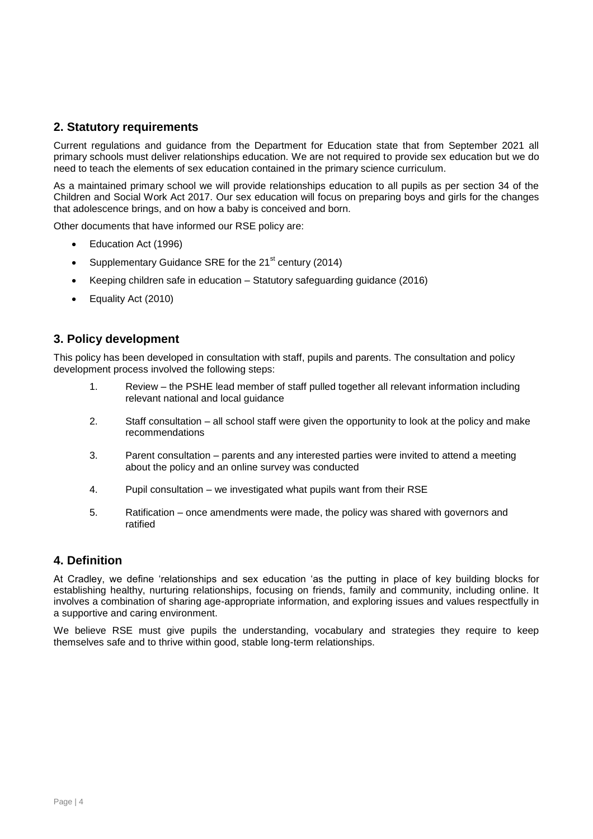#### **2. Statutory requirements**

Current regulations and guidance from the Department for Education state that from September 2021 all primary schools must deliver relationships education. We are not required to provide sex education but we do need to teach the elements of sex education contained in the primary science curriculum.

As a maintained primary school we will provide relationships education to all pupils as per section 34 of the [Children and Social Work Act 2017. Our sex education will focus on preparing boys and girls for the changes](http://www.legislation.gov.uk/ukpga/2017/16/section/34/enacted)  [that adolescence brings, and on how a baby is conceived and born.](http://www.legislation.gov.uk/ukpga/2017/16/section/34/enacted)

[Other documents that have informed our RSE policy are:](http://www.legislation.gov.uk/ukpga/2017/16/section/34/enacted)

- [Education Act \(1996\)](http://www.legislation.gov.uk/ukpga/2017/16/section/34/enacted)
- [Supplementary Guidance SRE for the 21](http://www.legislation.gov.uk/ukpga/2017/16/section/34/enacted)<sup>st</sup> century (2014)
- Keeping children safe in education [Statutory safeguarding guidance \(2016\)](http://www.legislation.gov.uk/ukpga/2017/16/section/34/enacted)
- Equality Act (2010)

#### <span id="page-3-0"></span>**3. Policy development**

This policy has been developed in consultation with staff, pupils and parents. The consultation and policy development process involved the following steps:

- 1. Review the PSHE lead member of staff pulled together all relevant information including relevant national and local guidance
- 2. Staff consultation all school staff were given the opportunity to look at the policy and make recommendations
- 3. Parent consultation parents and any interested parties were invited to attend a meeting about the policy and an online survey was conducted
- 4. Pupil consultation we investigated what pupils want from their RSE
- 5. Ratification once amendments were made, the policy was shared with governors and ratified

#### <span id="page-3-1"></span>**4. Definition**

At Cradley, we define 'relationships and sex education 'as the putting in place of key building blocks for establishing healthy, nurturing relationships, focusing on friends, family and community, including online. It involves a combination of sharing age-appropriate information, and exploring issues and values respectfully in a supportive and caring environment.

<span id="page-3-2"></span>We believe RSE must give pupils the understanding, vocabulary and strategies they require to keep themselves safe and to thrive within good, stable long-term relationships.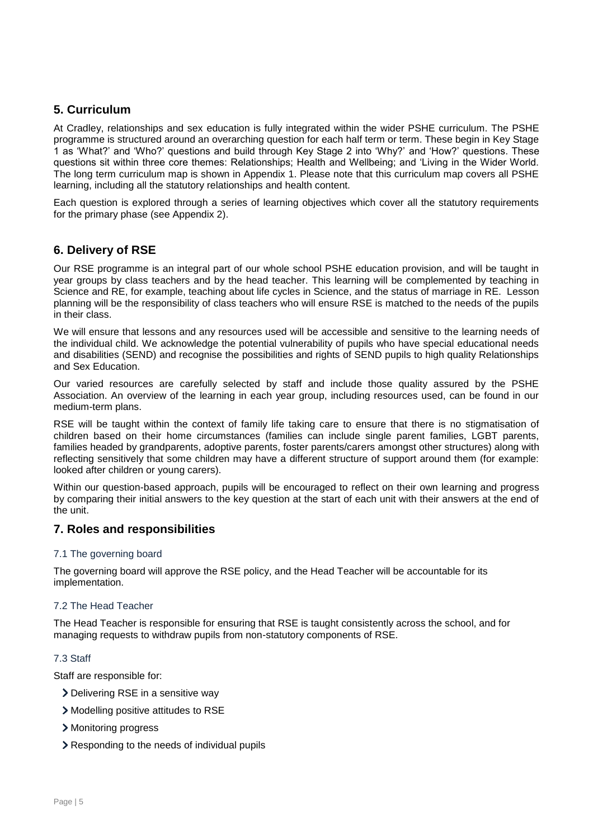#### **5. Curriculum**

At Cradley, relationships and sex education is fully integrated within the wider PSHE curriculum. The PSHE programme is structured around an overarching question for each half term or term. These begin in Key Stage 1 as 'What?' and 'Who?' questions and build through Key Stage 2 into 'Why?' and 'How?' questions. These questions sit within three core themes: Relationships; Health and Wellbeing; and 'Living in the Wider World. The long term curriculum map is shown in Appendix 1. Please note that this curriculum map covers all PSHE learning, including all the statutory relationships and health content.

Each question is explored through a series of learning objectives which cover all the statutory requirements for the primary phase (see Appendix 2).

#### <span id="page-4-0"></span>**6. Delivery of RSE**

Our RSE programme is an integral part of our whole school PSHE education provision, and will be taught in year groups by class teachers and by the head teacher. This learning will be complemented by teaching in Science and RE, for example, teaching about life cycles in Science, and the status of marriage in RE. Lesson planning will be the responsibility of class teachers who will ensure RSE is matched to the needs of the pupils in their class.

We will ensure that lessons and any resources used will be accessible and sensitive to the learning needs of the individual child. We acknowledge the potential vulnerability of pupils who have special educational needs and disabilities (SEND) and recognise the possibilities and rights of SEND pupils to high quality Relationships and Sex Education.

Our varied resources are carefully selected by staff and include those quality assured by the PSHE Association. An overview of the learning in each year group, including resources used, can be found in our medium-term plans.

RSE will be taught within the context of family life taking care to ensure that there is no stigmatisation of children based on their home circumstances (families can include single parent families, LGBT parents, families headed by grandparents, adoptive parents, foster parents/carers amongst other structures) along with reflecting sensitively that some children may have a different structure of support around them (for example: looked after children or young carers).

Within our question-based approach, pupils will be encouraged to reflect on their own learning and progress by comparing their initial answers to the key question at the start of each unit with their answers at the end of the unit.

#### <span id="page-4-1"></span>**7. Roles and responsibilities**

#### 7.1 The governing board

The governing board will approve the RSE policy, and the Head Teacher will be accountable for its implementation.

#### 7.2 The Head Teacher

The Head Teacher is responsible for ensuring that RSE is taught consistently across the school, and for managing requests to withdraw pupils from non-statutory components of RSE.

#### 7.3 Staff

Staff are responsible for:

- Delivering RSE in a sensitive way
- Modelling positive attitudes to RSE
- Monitoring progress
- Responding to the needs of individual pupils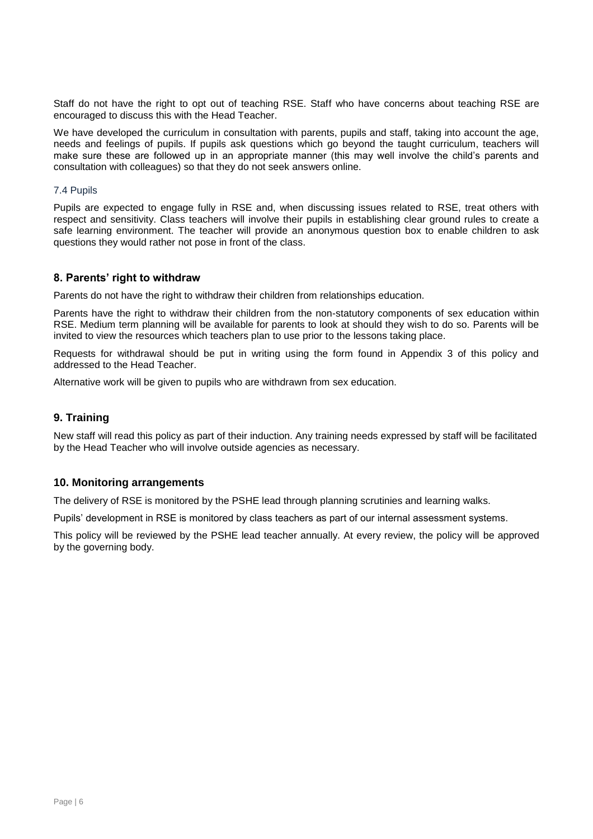Staff do not have the right to opt out of teaching RSE. Staff who have concerns about teaching RSE are encouraged to discuss this with the Head Teacher.

We have developed the curriculum in consultation with parents, pupils and staff, taking into account the age, needs and feelings of pupils. If pupils ask questions which go beyond the taught curriculum, teachers will make sure these are followed up in an appropriate manner (this may well involve the child's parents and consultation with colleagues) so that they do not seek answers online.

#### 7.4 Pupils

Pupils are expected to engage fully in RSE and, when discussing issues related to RSE, treat others with respect and sensitivity. Class teachers will involve their pupils in establishing clear ground rules to create a safe learning environment. The teacher will provide an anonymous question box to enable children to ask questions they would rather not pose in front of the class.

#### <span id="page-5-0"></span>**8. Parents' right to withdraw**

Parents do not have the right to withdraw their children from relationships education.

Parents have the right to withdraw their children from the non-statutory components of sex education within RSE. Medium term planning will be available for parents to look at should they wish to do so. Parents will be invited to view the resources which teachers plan to use prior to the lessons taking place.

Requests for withdrawal should be put in writing using the form found in Appendix 3 of this policy and addressed to the Head Teacher.

Alternative work will be given to pupils who are withdrawn from sex education.

#### <span id="page-5-1"></span>**9. Training**

New staff will read this policy as part of their induction. Any training needs expressed by staff will be facilitated by the Head Teacher who will involve outside agencies as necessary.

#### <span id="page-5-2"></span>**10. Monitoring arrangements**

The delivery of RSE is monitored by the PSHE lead through planning scrutinies and learning walks.

Pupils' development in RSE is monitored by class teachers as part of our internal assessment systems.

This policy will be reviewed by the PSHE lead teacher annually. At every review, the policy will be approved by the governing body.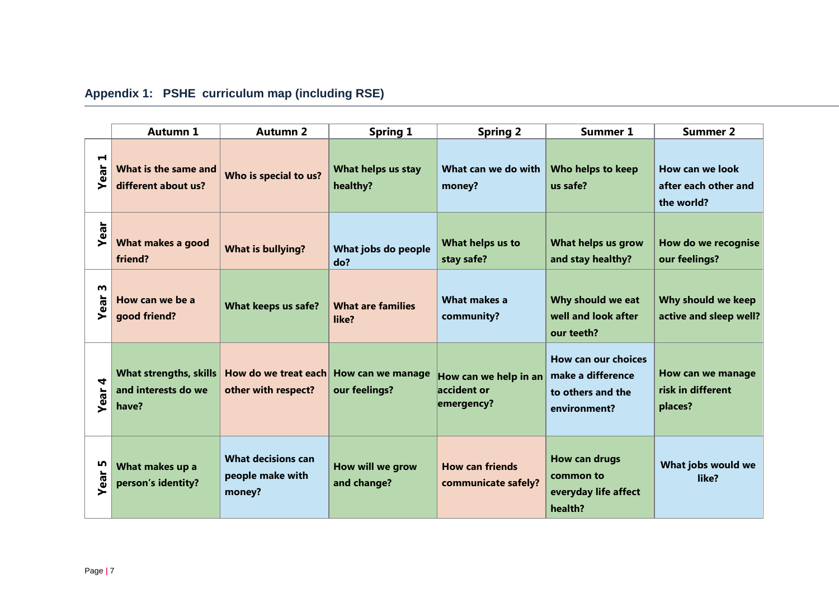|                        | <b>Autumn 1</b>                                               | <b>Autumn 2</b>                                         | <b>Spring 1</b>                    | <b>Spring 2</b>                                    | <b>Summer 1</b>                                                                      | <b>Summer 2</b>                                       |
|------------------------|---------------------------------------------------------------|---------------------------------------------------------|------------------------------------|----------------------------------------------------|--------------------------------------------------------------------------------------|-------------------------------------------------------|
| $\blacksquare$<br>Year | What is the same and<br>different about us?                   | Who is special to us?                                   | What helps us stay<br>healthy?     | What can we do with<br>money?                      | Who helps to keep<br>us safe?                                                        | How can we look<br>after each other and<br>the world? |
| Year                   | What makes a good<br>friend?                                  | <b>What is bullying?</b>                                | What jobs do people<br>do?         | What helps us to<br>stay safe?                     | What helps us grow<br>and stay healthy?                                              | How do we recognise<br>our feelings?                  |
| m<br>Year              | How can we be a<br>good friend?                               | What keeps us safe?                                     | <b>What are families</b><br>like?  | <b>What makes a</b><br>community?                  | Why should we eat<br>well and look after<br>our teeth?                               | Why should we keep<br>active and sleep well?          |
| 4<br><b>Year</b>       | <b>What strengths, skills</b><br>and interests do we<br>have? | How do we treat each<br>other with respect?             | How can we manage<br>our feelings? | How can we help in an<br>accident or<br>emergency? | <b>How can our choices</b><br>make a difference<br>to others and the<br>environment? | How can we manage<br>risk in different<br>places?     |
| n,<br>Year             | What makes up a<br>person's identity?                         | <b>What decisions can</b><br>people make with<br>money? | How will we grow<br>and change?    | <b>How can friends</b><br>communicate safely?      | <b>How can drugs</b><br>common to<br>everyday life affect<br>health?                 | What jobs would we<br>like?                           |

# **Appendix 1: PSHE curriculum map (including RSE)**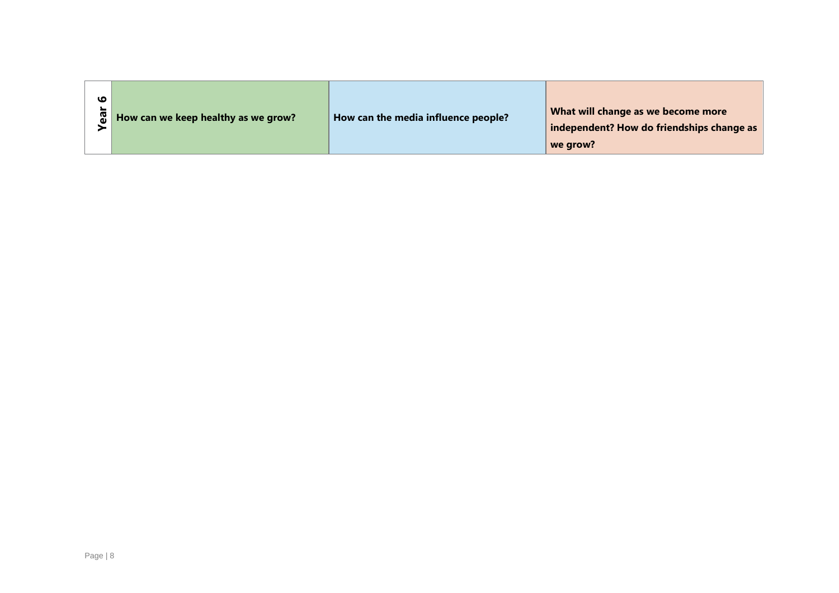| <b>Year 6</b> | How can we keep healthy as we grow? | How can the media influence people? | What will change as we become more<br>independent? How do friendships change as<br>we grow? |
|---------------|-------------------------------------|-------------------------------------|---------------------------------------------------------------------------------------------|
|               |                                     |                                     |                                                                                             |
|               |                                     |                                     |                                                                                             |
|               |                                     |                                     |                                                                                             |
|               |                                     |                                     |                                                                                             |
|               |                                     |                                     |                                                                                             |
| Page   8      |                                     |                                     |                                                                                             |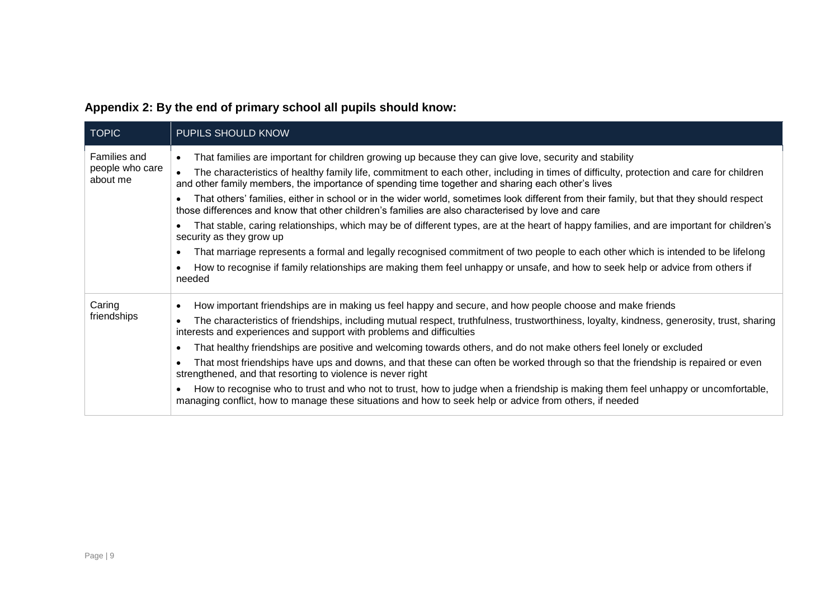<span id="page-8-0"></span>

| <b>TOPIC</b>                                | <b>PUPILS SHOULD KNOW</b>                                                                                                                                                                                                                                                                                                                                                                                                                                                                                                                                                                                                                                                                                                                                                                                                                                                                                                                                                                                                                                                       |
|---------------------------------------------|---------------------------------------------------------------------------------------------------------------------------------------------------------------------------------------------------------------------------------------------------------------------------------------------------------------------------------------------------------------------------------------------------------------------------------------------------------------------------------------------------------------------------------------------------------------------------------------------------------------------------------------------------------------------------------------------------------------------------------------------------------------------------------------------------------------------------------------------------------------------------------------------------------------------------------------------------------------------------------------------------------------------------------------------------------------------------------|
| Families and<br>people who care<br>about me | That families are important for children growing up because they can give love, security and stability<br>$\bullet$<br>The characteristics of healthy family life, commitment to each other, including in times of difficulty, protection and care for children<br>and other family members, the importance of spending time together and sharing each other's lives<br>That others' families, either in school or in the wider world, sometimes look different from their family, but that they should respect<br>those differences and know that other children's families are also characterised by love and care<br>That stable, caring relationships, which may be of different types, are at the heart of happy families, and are important for children's<br>security as they grow up<br>That marriage represents a formal and legally recognised commitment of two people to each other which is intended to be lifelong<br>$\bullet$<br>How to recognise if family relationships are making them feel unhappy or unsafe, and how to seek help or advice from others if |
| Caring<br>friendships                       | needed<br>How important friendships are in making us feel happy and secure, and how people choose and make friends<br>The characteristics of friendships, including mutual respect, truthfulness, trustworthiness, loyalty, kindness, generosity, trust, sharing<br>interests and experiences and support with problems and difficulties<br>That healthy friendships are positive and welcoming towards others, and do not make others feel lonely or excluded<br>That most friendships have ups and downs, and that these can often be worked through so that the friendship is repaired or even<br>strengthened, and that resorting to violence is never right<br>How to recognise who to trust and who not to trust, how to judge when a friendship is making them feel unhappy or uncomfortable,<br>managing conflict, how to manage these situations and how to seek help or advice from others, if needed                                                                                                                                                                 |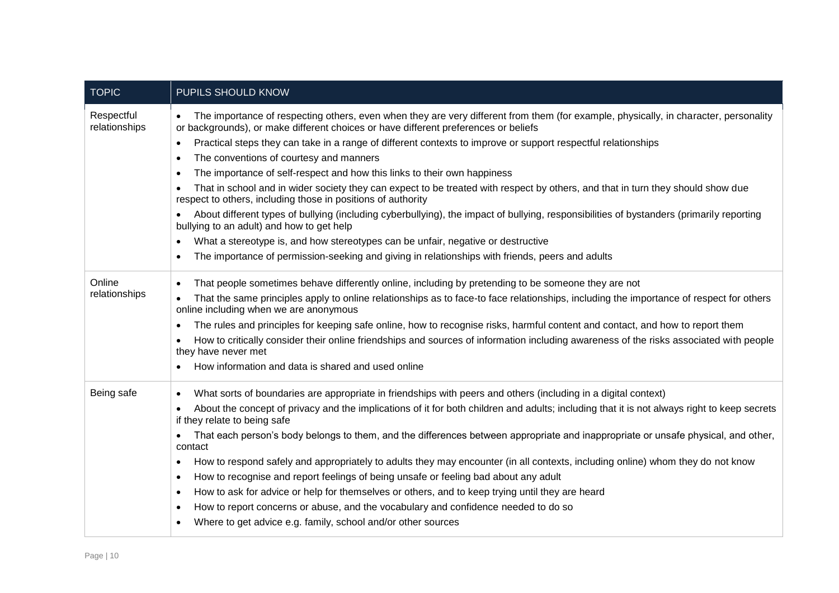| <b>TOPIC</b>                | PUPILS SHOULD KNOW                                                                                                                                                                                                          |
|-----------------------------|-----------------------------------------------------------------------------------------------------------------------------------------------------------------------------------------------------------------------------|
| Respectful<br>relationships | The importance of respecting others, even when they are very different from them (for example, physically, in character, personality<br>or backgrounds), or make different choices or have different preferences or beliefs |
|                             | Practical steps they can take in a range of different contexts to improve or support respectful relationships<br>$\bullet$                                                                                                  |
|                             | The conventions of courtesy and manners<br>٠                                                                                                                                                                                |
|                             | The importance of self-respect and how this links to their own happiness<br>$\bullet$                                                                                                                                       |
|                             | That in school and in wider society they can expect to be treated with respect by others, and that in turn they should show due<br>respect to others, including those in positions of authority                             |
|                             | About different types of bullying (including cyberbullying), the impact of bullying, responsibilities of bystanders (primarily reporting<br>$\bullet$<br>bullying to an adult) and how to get help                          |
|                             | What a stereotype is, and how stereotypes can be unfair, negative or destructive<br>$\bullet$                                                                                                                               |
|                             | The importance of permission-seeking and giving in relationships with friends, peers and adults<br>$\bullet$                                                                                                                |
| Online                      | That people sometimes behave differently online, including by pretending to be someone they are not                                                                                                                         |
| relationships               | That the same principles apply to online relationships as to face-to face relationships, including the importance of respect for others<br>online including when we are anonymous                                           |
|                             | The rules and principles for keeping safe online, how to recognise risks, harmful content and contact, and how to report them<br>$\bullet$                                                                                  |
|                             | How to critically consider their online friendships and sources of information including awareness of the risks associated with people<br>they have never met                                                               |
|                             | How information and data is shared and used online                                                                                                                                                                          |
| Being safe                  | What sorts of boundaries are appropriate in friendships with peers and others (including in a digital context)<br>$\bullet$                                                                                                 |
|                             | About the concept of privacy and the implications of it for both children and adults; including that it is not always right to keep secrets<br>$\bullet$<br>if they relate to being safe                                    |
|                             | That each person's body belongs to them, and the differences between appropriate and inappropriate or unsafe physical, and other,<br>$\bullet$<br>contact                                                                   |
|                             | How to respond safely and appropriately to adults they may encounter (in all contexts, including online) whom they do not know<br>$\bullet$                                                                                 |
|                             | How to recognise and report feelings of being unsafe or feeling bad about any adult<br>$\bullet$                                                                                                                            |
|                             | How to ask for advice or help for themselves or others, and to keep trying until they are heard<br>$\bullet$                                                                                                                |
|                             | How to report concerns or abuse, and the vocabulary and confidence needed to do so<br>$\bullet$                                                                                                                             |
|                             | Where to get advice e.g. family, school and/or other sources                                                                                                                                                                |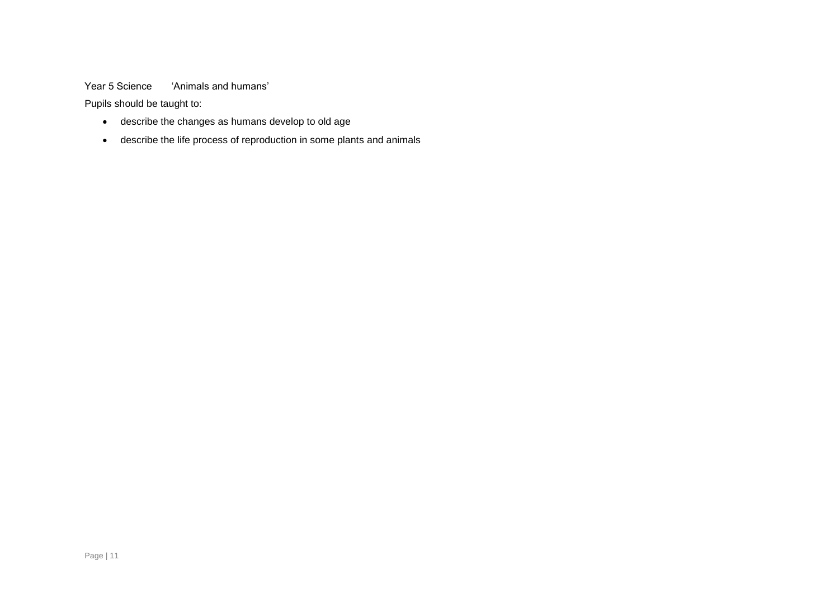#### Year 5 Science 'Animals and humans'

Pupils should be taught to:

- describe the changes as humans develop to old age
- describe the life process of reproduction in some plants and animals